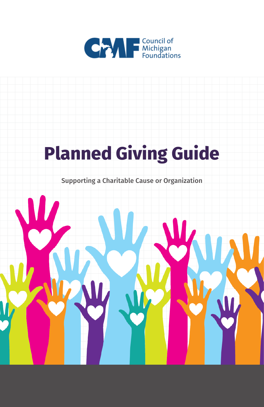

# **Planned Giving Guide**

Supporting a Charitable Cause or Organization

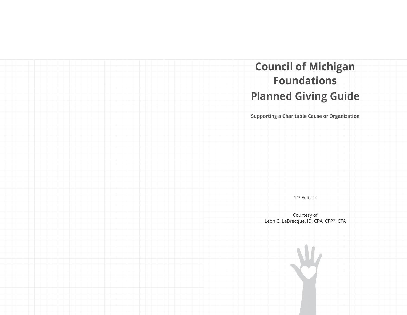# **Planned Giving Guide Council of Michigan Foundations**

Supporting a Charitable Cause or Organization

2<sup>nd</sup> Edition

Courtesy of Leon C. LaBrecque, JD, CPA, CFP®, CFA

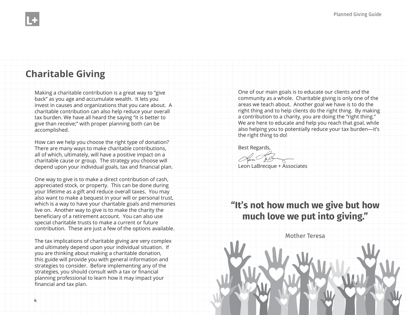## **Charitable Giving**

Making a charitable contribution is a great way to "give back" as you age and accumulate wealth. It lets you invest in causes and organizations that you care about. A charitable contribution can also help reduce your overall tax burden. We have all heard the saying "it is better to give than receive;" with proper planning both can be accomplished.

How can we help you choose the right type of donation? There are many ways to make charitable contributions, all of which, ultimately, will have a positive impact on a charitable cause or group. The strategy you choose will depend upon your individual goals, tax and financial plan.

One way to give is to make a direct contribution of cash, appreciated stock, or property. This can be done during your lifetime as a gift and reduce overall taxes. You may also want to make a bequest in your will or personal trust, which is a way to have your charitable goals and memories live on. Another way to give is to make the charity the beneficiary of a retirement account. You can also use special charitable trusts to make a current or future contribution. These are just a few of the options available.

The tax implications of charitable giving are very complex and ultimately depend upon your individual situation. If you are thinking about making a charitable donation, this guide will provide you with general information and strategies to consider. Before implementing any of the strategies, you should consult with a tax or financial planning professional to learn how it may impact your financial and tax plan.

One of our main goals is to educate our clients and the community as a whole. Charitable giving is only one of the areas we teach about. Another goal we have is to do the right thing and to help clients do the right thing. By making a contribution to a charity, you are doing the "right thing." We are here to educate and help you reach that goal, while also helping you to potentially reduce your tax burden—it's the right thing to do!

Best Regards,

Leon LaBrecque + Associates

**"It's not how much we give but how much love we put into giving."**

Mother Teresa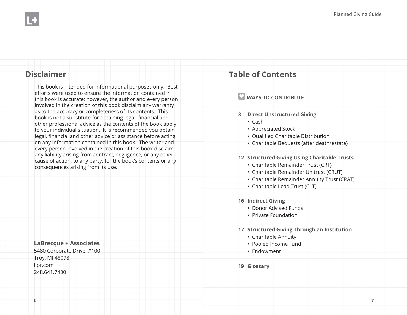#### **Disclaimer**

This book is intended for informational purposes only. Best efforts were used to ensure the information contained in this book is accurate; however, the author and every person involved in the creation of this book disclaim any warranty as to the accuracy or completeness of its contents. This book is not a substitute for obtaining legal, financial and other professional advice as the contents of the book apply to your individual situation. It is recommended you obtain legal, financial and other advice or assistance before acting on any information contained in this book. The writer and every person involved in the creation of this book disclaim any liability arising from contract, negligence, or any other cause of action, to any party, for the book's contents or any consequences arising from its use.

**LaBrecque + Associates** 5480 Corporate Drive, #100 Troy, MI 48098 ljpr.com 248.641.7400

## **Table of Contents**

#### **WAYS TO CONTRIBUTE**

- **8 Direct Unstructured Giving**
	- Cash
	- Appreciated Stock
	- Qualified Charitable Distribution
	- Charitable Bequests (after death/estate)

#### **12 Structured Giving Using Charitable Trusts**

- Charitable Remainder Trust (CRT)
- Charitable Remainder Unitrust (CRUT)
- Charitable Remainder Annuity Trust (CRAT)
- Charitable Lead Trust (CLT)
- **16 Indirect Giving**
	- Donor Advised Funds
	- Private Foundation
- **17 Structured Giving Through an Institution**
	- Charitable Annuity
	- Pooled Income Fund
	- Endowment
- **19 Glossary**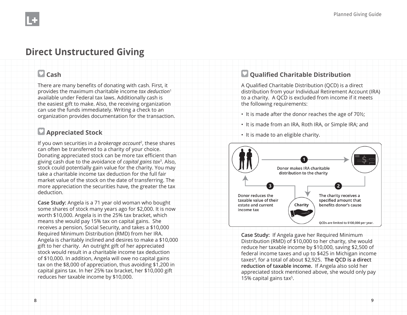# **Direct Unstructured Giving**

### **Cash**

There are many benefits of donating with cash. First, it provides the maximum charitable income *tax deduction*<sup>1</sup> available under Federal tax laws. Additionally cash is the easiest gift to make. Also, the receiving organization can use the funds immediately. Writing a check to an organization provides documentation for the transaction.

### **Appreciated Stock**

If you own securities in a *brokerage account*2, these shares can often be transferred to a charity of your choice. Donating appreciated stock can be more tax efficient than giving cash due to the avoidance of *capital gains tax*3. Also, stock could potentially gain value for the charity. You may take a charitable income tax deduction for the full fair market value of the stock on the date of transferring. The more appreciation the securities have, the greater the tax deduction.

**Case Study:** Angela is a 71 year old woman who bought some shares of stock many years ago for \$2,000. It is now worth \$10,000. Angela is in the 25% tax bracket, which means she would pay 15% tax on capital gains. She receives a pension, Social Security, and takes a \$10,000 Required Minimum Distribution (RMD) from her IRA. Angela is charitably inclined and desires to make a \$10,000 gift to her charity. An outright gift of her appreciated stock would result in a charitable income tax deduction of \$10,000. In addition, Angela will owe no capital gains tax on the \$8,000 of appreciation, thus avoiding \$1,200 in capital gains tax. In her 25% tax bracket, her \$10,000 gift reduces her taxable income by \$10,000.

#### **Qualified Charitable Distribution**

A Qualified Charitable Distribution (QCD) is a direct distribution from your Individual Retirement Account (IRA) to a charity. A QCD is excluded from income if it meets the following requirements:

- It is made after the donor reaches the age of 70½;
- It is made from an IRA, Roth IRA, or Simple IRA; and
- It is made to an eligible charity.



**Case Study:** If Angela gave her Required Minimum Distribution (RMD) of \$10,000 to her charity, she would reduce her taxable income by \$10,000, saving \$2,500 of federal income taxes and up to \$425 in Michigan income taxes4, for a total of about \$2,925. **The QCD is a direct reduction of taxable income.** If Angela also sold her appreciated stock mentioned above, she would only pay 15% capital gains tax5.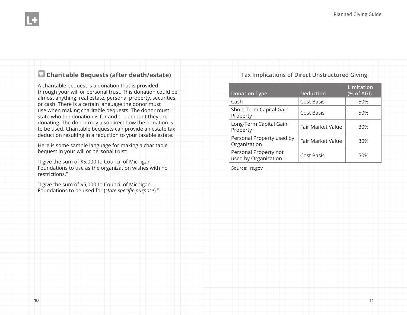### **Charitable Bequests (after death/estate)**

A charitable bequest is a donation that is provided through your will or personal trust. This donation could be almost anything: real estate, personal property, securities, or cash. There is a certain language the donor must use when making charitable bequests. The donor must state who the donation is for and the amount they are donating. The donor may also direct how the donation is to be used. Charitable bequests can provide an estate tax deduction resulting in a reduction to your taxable estate.

Here is some sample language for making a charitable bequest in your will or personal trust:

"I give the sum of \$5,000 to Council of Michigan Foundations to use as the organization wishes with no restrictions."

"I give the sum of \$5,000 to Council of Michigan Foundations to be used for (*state specific purpose*)." **Tax Implications of Direct Unstructured Giving**

|  | <b>Donation Type</b>                          | <b>Deduction</b>  | <b>Limitation</b><br>(% of AGI) |
|--|-----------------------------------------------|-------------------|---------------------------------|
|  | Cash                                          | Cost Basis        | 50%                             |
|  | Short-Term Capital Gain<br>Property           | Cost Basis        | 50%                             |
|  | Long-Term Capital Gain<br>Property            | Fair Market Value | 30%                             |
|  | Personal Property used by<br>Organization     | Fair Market Value | 30%                             |
|  | Personal Property not<br>used by Organization | Cost Basis        | 50%                             |

Source: irs.gov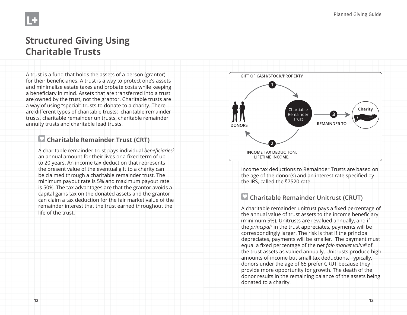

## **Structured Giving Using Charitable Trusts**

A trust is a fund that holds the assets of a person (grantor) for their beneficiaries. A trust is a way to protect one's assets and minimalize estate taxes and probate costs while keeping a beneficiary in mind. Assets that are transferred into a trust are owned by the trust, not the grantor. Charitable trusts are a way of using "special" trusts to donate to a charity. There are different types of charitable trusts: charitable remainder trusts, charitable remainder unitrusts, charitable remainder annuity trusts and charitable lead trusts.

#### **Charitable Remainder Trust (CRT)**

A charitable remainder trust pays individual *beneficiaries*<sup>6</sup> an annual amount for their lives or a fixed term of up to 20 years. An income tax deduction that represents the present value of the eventual gift to a charity can be claimed through a charitable remainder trust. The minimum payout rate is 5% and maximum payout rate is 50%. The tax advantages are that the grantor avoids a capital gains tax on the donated assets and the grantor can claim a tax deduction for the fair market value of the remainder interest that the trust earned throughout the life of the trust.



Income tax deductions to Remainder Trusts are based on the age of the donor(s) and an interest rate specified by the IRS, called the §7520 rate.

### **Charitable Remainder Unitrust (CRUT)**

A charitable remainder unitrust pays a fixed percentage of the annual value of trust assets to the income beneficiary (minimum 5%). Unitrusts are revalued annually, and if the *principal*7 in the trust appreciates, payments will be correspondingly larger. The risk is that if the principal depreciates, payments will be smaller. The payment must equal a fixed percentage of the net *fair-market value<sup>8</sup>* of the trust assets as valued annually. Unitrusts produce high amounts of income but small tax deductions. Typically, donors under the age of 65 prefer CRUT because they provide more opportunity for growth. The death of the donor results in the remaining balance of the assets being donated to a charity.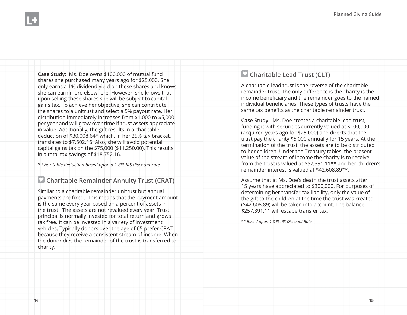**Case Study:** Ms. Doe owns \$100,000 of mutual fund shares she purchased many years ago for \$25,000. She only earns a 1% dividend yield on these shares and knows she can earn more elsewhere. However, she knows that upon selling these shares she will be subject to capital gains tax. To achieve her objective, she can contribute the shares to a unitrust and select a 5% payout rate. Her distribution immediately increases from \$1,000 to \$5,000 per year and will grow over time if trust assets appreciate in value. Additionally, the gift results in a charitable deduction of \$30,008.64\* which, in her 25% tax bracket, translates to \$7,502.16. Also, she will avoid potential capital gains tax on the \$75,000 (\$11,250.00). This results in a total tax savings of \$18,752.16.

*\* Charitable deduction based upon a 1.8% IRS discount rate.* 

#### **Charitable Remainder Annuity Trust (CRAT)**

Similar to a charitable remainder unitrust but annual payments are fixed. This means that the payment amount is the same every year based on a percent of assets in the trust. The assets are not revalued every year. Trust principal is normally invested for total return and grows tax free. It can be invested in a variety of investment vehicles. Typically donors over the age of 65 prefer CRAT because they receive a consistent stream of income. When the donor dies the remainder of the trust is transferred to charity.

#### **Charitable Lead Trust (CLT)**

A charitable lead trust is the reverse of the charitable remainder trust. The only difference is the charity is the income beneficiary and the remainder goes to the named individual beneficiaries. These types of trusts have the same tax benefits as the charitable remainder trust.

**Case Study:** Ms. Doe creates a charitable lead trust, funding it with securities currently valued at \$100,000 (acquired years ago for \$25,000) and directs that the trust pay the charity \$5,000 annually for 15 years. At the termination of the trust, the assets are to be distributed to her children. Under the Treasury tables, the present value of the stream of income the charity is to receive from the trust is valued at \$57,391.11\*\* and her children's remainder interest is valued at \$42,608.89\*\*.

Assume that at Ms. Doe's death the trust assets after 15 years have appreciated to \$300,000. For purposes of determining her transfer-tax liability, only the value of the gift to the children at the time the trust was created (\$42,608.89) will be taken into account. The balance \$257,391.11 will escape transfer tax.

\*\* *Based upon 1.8 % IRS Discount Rate*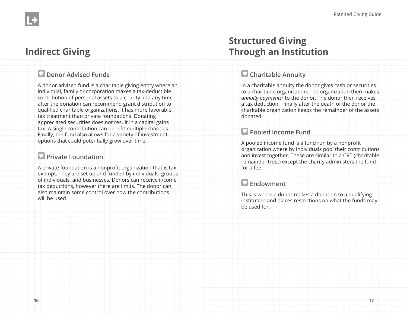# **Indirect Giving**

#### **Donor Advised Funds**

A donor advised fund is a charitable giving entity where an individual, family or corporation makes a tax-deductible contribution of personal assets to a charity and any time after the donation can recommend grant distribution to qualified charitable organizations. It has more favorable tax treatment than private foundations. Donating appreciated securities does not result in a capital gains tax. A single contribution can benefit multiple charities. Finally, the fund also allows for a variety of investment options that could potentially grow over time.

## **Private Foundation**

A private foundation is a nonprofit organization that is tax exempt. They are set up and funded by individuals, groups of individuals, and businesses. Donors can receive income tax deductions, however there are limits. The donor can also maintain some control over how the contributions will be used.

# **Structured Giving Through an Institution**

#### **Charitable Annuity**

In a charitable annuity the donor gives cash or securities to a charitable organization. The organization then makes *annuity payments*9 to the donor. The donor then receives a tax deduction. Finally after the death of the donor the charitable organization keeps the remainder of the assets donated.

### **Pooled Income Fund**

A pooled income fund is a fund run by a nonprofit organization where by individuals pool their contributions and invest together. These are similar to a CRT (charitable remainder trust) except the charity administers the fund for a fee.

## **Endowment**

This is where a donor makes a donation to a qualifying institution and places restrictions on what the funds may be used for.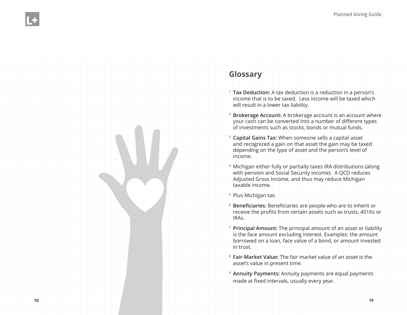### **Glossary**

- <sup>1</sup>**Tax Deduction:** A tax deduction is a reduction in a person's income that is to be taxed. Less income will be taxed which will result in a lower tax liability.
- <sup>2</sup>**Brokerage Account:** A brokerage account is an account where your cash can be converted into a number of different types of investments such as stocks, bonds or mutual funds.
- <sup>3</sup>**Capital Gains Tax:** When someone sells a capital asset and recognized a gain on that asset the gain may be taxed depending on the type of asset and the person's level of income.
- 4 Michigan either fully or partially taxes IRA distributions (along with pension and Social Security income). A QCD reduces Adjusted Gross Income, and thus may reduce Michigan taxable income.

<sup>5</sup> Plus Michigan tax.

- <sup>6</sup>**Beneficiaries:** Beneficiaries are people who are to inherit or receive the profits from certain assets such as trusts, 401Ks or IRAs.
- <sup>7</sup>**Principal Amount:** The principal amount of an asset or liability is the face amount excluding interest. Examples: the amount borrowed on a loan, face value of a bond, or amount invested in trust.
- <sup>8</sup>**Fair-Market Value:** The fair market value of an asset is the asset's value in present time.
- <sup>9</sup>**Annuity Payments:** Annuity payments are equal payments made at fixed intervals, usually every year.